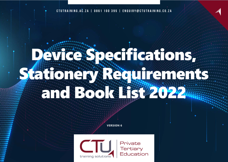**CTUTRAINING.AC.ZA | 0861 100 395 | ENQUIRY@CTUTRAINING.CO.ZA**

# Device Specifications, Stationery Requirements and Book List 2022

**VERSION 6**

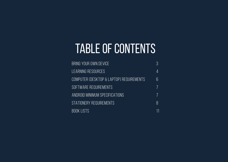## TABLE OF CONTENTS

| BRING YOUR OWN DEVICE                    | 3  |
|------------------------------------------|----|
| LEARNING RESOURCES                       | 4  |
| COMPUTER (DESKTOP & LAPTOP) REQUIREMENTS | 6  |
| SOFTWARE REQUIREMENTS                    |    |
| ANDROID MINIMUM SPECIFICATIONS           |    |
| STATIONERY REQUIREMENTS                  | 8  |
| <b>BOOK LISTS</b>                        | 11 |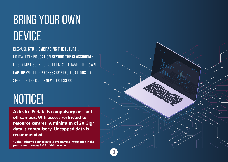## BRING YOUR OWN **DEVICE**

BECAUSE **CTU** IS **EMBRACING THE FUTURE** OF EDUCATION **- EDUCATION BEYOND THE CLASSROOM -** IT IS COMPULSORY FOR STUDENTS TO HAVE THEIR **OWN LAPTOP** WITH THE **NECESSARY SPECIFICATIONS** TO SPEED UP THEIR **JOURNEY TO SUCCESS**

## NOTICE!

**A device & data is compulsory on- and off campus. Wifi access restricted to resource centres. A minimum of 20 Gig\* data is compulsory. Uncapped data is recommended.**

**\*Unless otherwise stated in your programme information in the prospectus or on pg 7 -10 of this document.**

**3**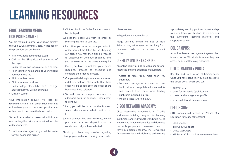## **LEARNING RESOURCES**

## **EDGE LEARNING MEDIA (ICB PROGRAMMES):**

You are required to order your books directly through EDGE Learning Media. Please follow the procedure set out below:

- Visit www.edgelearningmedia.com
- Click on the "Shop"situated at the top of the page
- Under the College tab, register as a college
- Fill in your first name and add your student number in this tab
- Fill in your last name
- Fill in your email address
- Under College, please fill in the CTU college address that you will be attending
- Click on Submit

Your information request will then be reviewed. Once all is in order, Edge Learning will activate your account and provide you with access to purchase the book packs.

You will be emailed a password, which you can use together with your email address to order your items.

1. Once you have signed in, you will be taken to your dashboard screen.

- 2. Click on Books to Order for the books to be displayed.
- 3. Select the books you wish to order by selecting the Add to Cart tab.
- 4. Each time you select a book you wish to order, you will be taken to the shopping cart screen. You may then click on Proceed to Checkout or Continue Shopping until you have selected all the books you require.
- 5. Once you have completed your online shopping, proceed to checkout and complete the ordering process.
- 6. Complete the billing information and select a delivery method. Please note that these costs will be added onto the costs of the books you have selected.
- 7. You will then be prompted to accept the additional days for printing. Please accept to continue.
- 8. Next, you will be taken to the Payment screen, where you can select credit card or EFT.
- 9. Once payment has been received, we will print your order and dispatch it via the courier method you have selected.

Should you have any queries regarding placing your order or tracking your order, please contact:

#### info@edgelearningmedia.com

\*Edge Learning Media will not be held liable for any refunds/returns resulting from purchases made on the incorrect student profile.

## **O'REILLY ONLINE LEARNING:**

An online library of books, video and tutorial resources and pre-published manuscripts.

- Access to titles from more than 100 publishers.
- Dynamic day-by-day updates of new books, videos, pre-published manuscripts and content from these same leading publishers included in price.
- Mobile access: Android & iOS.

## **CISCO NETWORK ACADEMY:**

Cisco Networking Academy is an IT skills and career building program for learning institutions and individuals worldwide. Cisco Networking Academy identifies and develops the skills people and businesses need to thrive in a digital economy. The Networking Academy curriculum is delivered online using a proprietary learning platform in partnership with local learning institutions. Cisco provides the curriculum, learning platform, and support resources.

## **COL CAMPUS:**

An online learner management system that is exclusive to CTU students where they can access additional learning resources.

## **CTU COMMUNITY PORTAL:**

Register and sign in on ctutraining.ac.za. Once you have done this you have access to the career portal where you can:

- apply at CTU
- enrol for Academic Qualifications
- create and manage your profile
- access additional free resources

## **OFFICE 365:**

CTU students will receive an "Office 365 Education for Students" account.

- 50GB mailbox
- 1TB OneDrive space
- Office Web Apps
- MS Teams Collaboration between students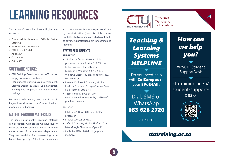## **LEARNING RESOURCES**

This account's e-mail address will give you access to:

- Prescribed textbooks on O'Reilly Online Learning
- Autodesk student versions
- CTU Student Portal
- Adobe ID
- ColCampus
- Office 365

## **SOFTWARE NOTICE:**

- CTU Training Solutions does NOT sell or supply software or hardware.
- CTU students studying, Web Development, Graphic Design & Visual Communication are required to purchase Creative Cloud packages.

For more information, read the Rules & Regulations document or Communications module on ColCampus.

## **NATED LEARNING MATERIALS:**

The sourcing of quality Learning Material can be fraught with pitfalls, we have quality materials readily available which carry the endorsement of the education department. They are available for downloading from Future Manager app (eBook for humanities

- https://www.futuremanagers.com/stepby-step-instructions/) and list of books are available at all our campuses which contribute to advancing professionalism in teaching and learning.

## **SYSTEM REQUIREMENTS**

**Windows™**

- 2.33GHz or faster x86-compatible processor, or Intel® Atom™ 1.6GHz or faster processor for netbooks
- Microsoft® Windows® XP (32 bit), Windows Vista® (32 bit), Windows 7 (32 bit and 64 bit)
- Internet Explorer 7.0 or later, Mozilla Firefox 4.0 or later, Google Chrome, Safari 5.0 or later, or Opera 11
- 128MB of RAM (1GB of RAM recommended for netbooks); 128MB of graphics memory

#### **Mac OS™**

- Intel Core™ Duo 1.83GHz or faster processor
- Mac OS X v10.6 or v10.7
- Safari 5.0 or later, Mozilla Firefox 4.0 or later, Google Chrome, or Opera 11
- 256MB of RAM; 128MB of graphics



*Teaching & Learning Systems HELPLINE*

Do you need help with **ColCampus** or your EPoE4All?

Dial, SMS or WhatsApp 083 626 2720

#HELPLINE4U

## *How can we help you?*

#MyCTUStudent SupportDesk

ctutraining.ac.za/ student-supportdesk/



## memory. **changed and accurate the contraining.ac.za**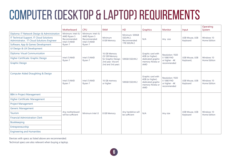## COMPUTER (DESKTOP & LAPTOP) REQUIREMENTS

|                                                                                        | Motherboard                                 | <b>CPU</b>                                                            | <b>RAM</b>                            | <b>HD</b>                           | Graphics                                                                                    | Monitor                                                         | Input                              | Operating<br>System        |
|----------------------------------------------------------------------------------------|---------------------------------------------|-----------------------------------------------------------------------|---------------------------------------|-------------------------------------|---------------------------------------------------------------------------------------------|-----------------------------------------------------------------|------------------------------------|----------------------------|
| Diploma: IT Network Design & Administration                                            | Minimum: Intel i5/                          | Minimum: Intel i5/                                                    |                                       | Minimum: 500GB                      |                                                                                             |                                                                 |                                    |                            |
| IT Technical Support, IT Cloud Solutions<br>Administrator, IT Cloud Solutions Engineer | AMD Ryzen 5<br>Recommended:<br>Intel i7/AMD | AMD Ryzen 5<br>Minimum<br>Recommended:<br>8 GB Memory<br>Intel i7/AMD | SSD/M.2.<br>Recommended:              | N/A                                 | Any size                                                                                    | <b>USB Mouse, USB</b><br>Keyboard                               | Windows 10<br>Home Edition         |                            |
| Software, App & Games Development                                                      | Ryzen 7                                     | Ryzen 7                                                               |                                       | 1TB SSD/M.2                         |                                                                                             |                                                                 |                                    |                            |
| UI Design & UX Development                                                             |                                             |                                                                       |                                       |                                     |                                                                                             |                                                                 |                                    |                            |
| Diploma: Visual Communication                                                          |                                             |                                                                       | 16 GB Memory                          |                                     | Graphic card with                                                                           | Resolution: 1920                                                |                                    |                            |
| Higher Certificate: Graphic Design                                                     | Intel i7/AMD<br>Ryzen 7                     | Intel i7/AMD<br>Ryzen 7                                               | (32 GB Memory<br>for Graphic Design   | 500GB SSD/M.2                       | 4GB (or higher)<br>dedicated graphic                                                        | X 1080 FHD<br>or higher - 4K                                    | <b>USB Mouse, USB</b><br>Keyboard, | Windows 10<br>Home Edition |
| <b>Graphic Design</b>                                                                  |                                             |                                                                       | 2nd year, Viscom<br>2nd and 3rd year) |                                     | memory Nvidia or<br><b>AMD</b>                                                              | recommended                                                     |                                    |                            |
| Computer Aided Draughting & Design                                                     | Intel i7/AMD<br>Ryzen 7                     | Intel i7/AMD<br>Ryzen 7                                               | 16 GB memory<br>or higher             | 500GB SSD/M.2                       | Graphic card with<br>4GB (or higher)<br>dedicated graphic<br>memory Nvidia or<br><b>AMD</b> | Resolution: 1920<br>X 1080 FHD<br>or higher - 4K<br>recommended | <b>USB Mouse, USB</b><br>Keyboard  | Windows 10<br>Home Edition |
| <b>BBA</b> in Project Management                                                       |                                             |                                                                       |                                       |                                     |                                                                                             |                                                                 |                                    |                            |
| Higher Certificate: Management                                                         |                                             |                                                                       |                                       |                                     |                                                                                             |                                                                 |                                    |                            |
| <b>Project Management</b>                                                              |                                             |                                                                       |                                       |                                     |                                                                                             |                                                                 |                                    |                            |
| <b>Generic Management</b>                                                              |                                             |                                                                       |                                       |                                     |                                                                                             |                                                                 |                                    |                            |
| <b>Tourism</b>                                                                         | Any motherboard<br>will be sufficient       | Minimum Intel i3                                                      | 8 GB Memory                           | Any harddrive will<br>be sufficient | N/A                                                                                         | Any size                                                        | USB Mouse, USB<br>Keyboard         | Windows 10<br>Home Edition |
| <b>Financial Administration Clerk</b>                                                  |                                             |                                                                       |                                       |                                     |                                                                                             |                                                                 |                                    |                            |
| Bookkeeping                                                                            |                                             |                                                                       |                                       |                                     |                                                                                             |                                                                 |                                    |                            |
| Entrepreneurship                                                                       |                                             |                                                                       |                                       |                                     |                                                                                             |                                                                 |                                    |                            |
| <b>Engineering and Humanities</b>                                                      |                                             |                                                                       |                                       |                                     |                                                                                             |                                                                 |                                    |                            |

**6**

Devices with specs as listed above are recommended.

Technical specs are also relevant when buying a laptop.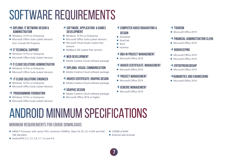## SOFTWARE REQUIREMENTS

#### **DIPLOMA: IT NETWORK DESIGN & ADMINISTRATION**

- Windows 10 Pro or Enterprise
- Microsoft Office Suite (Latest Version) (Incl. include MS Projects)

## **IT TECHNICAL SUPPORT**

- Windows 10 Pro or Enterprise
- Microsoft Office Suite (Latest Version)

## **IT CLOUD SOLUTIONS ADMINISTRATOR**

- Windows 10 Pro or Enterprise
- Microsoft Office Suite (Latest Version)

## **IT CLOUD SOLUTIONS ENGINEER**

- Windows 10 Pro or Enterprise
- Microsoft Office Suite (Latest Version)

## **PROGRAMMING FOUNDATION**

- Windows 10 Pro or Enterprise
- Microsoft Office Suite (Latest Version)

## **SOFTWARE, APPLICATION & GAMES DEVELOPMENT**

- Windows 10 Pro or Enterprise
- Microsoft Office Suite (Latest Version)
- Microsoft Visual Studio (Latest free version)
- NetBeans IDE (Latest free version)

## **WEB DEVELOPMENT**

• Adobe Creative Cloud software package

## **DIPLOMA: VISUAL COMMUNICATION**

• Adobe Creative Cloud software package

## **HIGHER CERTIFICATE: GRAPHIC DESIGN**

• Adobe Creative Cloud software package

## **GRAPHIC DESIGN**

- Adobe Creative Cloud software package
- Microsoft Office 2016 or higher

## **COMPUTER AIDED DRAUGHTING & DESIGN**

- **AutoDesk**
- $\bullet$  AutoCad
- **•** Revit
- **O** Inventor

## *A* **BBA IN PROJECT MANAGEMENT**

• Microsoft Office 2019

## **HIGHER CERTIFICATE: MANAGEMENT**

• Microsoft Office 2019

## **PROJECT MANAGEMENT**

• Microsoft Office 2019

## **GENERIC MANAGEMENT**

• Microsoft Office 2019

### **TOURISM**

• Microsoft Office 2019

## *<u><b>A* FINANCIAL ADMINISTRATION CLERK</u>

• Microsoft Office 2019

## **BOOKKEEPING**

- Microsoft Office 2019
- Microsoft Office 2019

## **ENTREPRENEURSHIP**

• Microsoft Office 2019

## *AHUMANITIES AND ENGINEERING*

• Microsoft Office 2019

ANDROID MINIMUM SPECIFICATIONS

## **MINIMUM REQUIREMENTS FOR EBOOK DOWNLOADS**

- ARMv7 Processor with vector FPU, minimum 550MHz, Open GL ES 2.0, H.264 and AAC HW decoders
- AndroidTM 2.2, 2.3, 3.0, 3.1, 3.2 and 4.0
- 256MB of RAM
- **Android web browser**

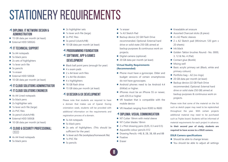## STATIONERY REQUIREMENTS

### **DIPLOMA: IT NETWORK DESIGN & ADMINISTRATION**

- 15 GB data per month (at least)
- **•** External HDD 500GIG

## **IT TECHNICAL SUPPORT**

- $\bullet$  5x A4 notepads
- $\bullet$  5x black pens
- $\bullet$  2x sets of highlighters
- $\bullet$  1x lever arch file
- $\bullet$  5x pencils
- $\bullet$  1x eraser
- External HDD 500GB
- 10 GB data per month (at least)

## **IT CLOUD SOLUTIONS ADMINISTRATOR IT CLOUD SOLUTIONS ENGINEER**

- $\bullet$  4x A4 Lined notepads
- $\bullet$  5x black pens
- $\bullet$  2x highlighter sets
- $\bullet$  1x lever arch file (large)
- 2x PVC files
- $\bullet$  3x pencil (clutch/HB)
- External HDD 500GB
- 10 GB data per month (at least)

### **CLOUD & SECURITY PROFESSIONAL: CISCO**

- $\bullet$  4x A4 lined notepads
- $\bullet$  5x black pens
- $\bullet$  2x highlighter sets
- $\bullet$  1x lever arch file (large)
- $\bullet$  2x PVC files
- $\bullet$  3x pencil (clutch/HB)
- 10 GB data per month (at least)

## **PROGRAMMING FOUNDATION**

- **SOFTWARE, APP & GAMES DEVELOPMENT**
- Black ball point pens (enough for year)
- $\bullet$  4 x exam pads
- $\bullet$  2 x A4 lever arch files
- $\bullet$  2 x  $\Delta$ 4 file dividers
- $\bullet$  4 x highlighters
- $\bullet$  16 GB flash drive
- 15 GB data per month (at least)

## **UI DESIGN & UX DEVELOPMENT**

Please note that students are required to have a domain that makes use of Cpanel. During orientation week, students will be provided with additional information on the requirements and registration process of a domain.

- $\bullet$  5x A4 notepads
- $\bullet$  5x black pens
- 2x sets of highlighters. (This should be sufficient for the year)
- $\bullet$  1x lever arch file (workplace/homework file)
- $\bullet$  1x PVC file
- $\bullet$  5x pencils
- $\bullet$  1x eraser
- 1x A3 Sketch Pad
- Backup device (32 GB Flash Drive recommended. Optional: External hard drive or solid state 250 GB) aimed at backup purposes & continuous work on projects.
- Digital camera (optional)
- 20 GB data per month (at least)

#### **Virtual Reality Requirements (Recommended)**

- Phone must have a gyroscope. Older and budget versions of certain smartphones do not have gyroscopes.
- $\bullet$  Android phones need to be Android 4.4 (KitKat) or higher.
- iPhones must be an iPhone 5S or newer. with iOS 8 or higher
- $\bullet$  VR headset that is compatible with the mobile device
- VR Headset ranging from R300 to R600

### **DIPLOMA: VISUAL COMMUNICATION**

- NT Cutter 18mm with metal sleeve
- **NT Cutter blades 18mm**
- $\bullet$  2 x Pilot drawing pens (0,05, 0.3 and 0.5)
- Aquarelle colour pencils X12
- Drawing Pencils –HB, B, 2B, 3B, 6B and 8B
- $\bullet$  Fixative
- **•** Eraser
- $\bullet$  Kneadable art erasure
- Assorted Charcoal sticks (8 piece)
- $\bullet$  4 x A2 Plastic sleeves
- 2 x A2 Sketch pad (Minimum 120 gsm x 20 sheets)
- $\bullet$  Ink black
- Golden Taklon brushes Round:- No. 0000. 3, 12 & No. 4 (Flat)
- Contact glue (Bostik)
- $\bullet$  Mixing well
- Basic acrylic primary set (Black, white and primary colours)
- Portfolio bag  $-$  A2 (no rings)
- 20 GB data per month (at least)
- Backup device (32 GB Flash Drive recommended. Optional: External hard drive or solid state 250 GB) aimed at backup purposes & continuous work on projects.

Please note that some of the material on the list such as sketch paper may need to be replenished throughout the year. With certain projects additional material may need to be purchased such as Triplex board. Students will be informed of material requirements for each project in advance. **In their second year of study, students are required to have access to a DSLR camera.**

#### **DSLR Camera specifications**

- Should be able to change lenses
- You should be able to adjust all settings

**8**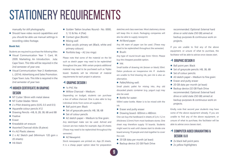## STATIONERY REQUIREMENTS

manually for still photography

• Should have video record capabilities and you should be able use manual settings in recording video footage.

#### **Book list:**

Students are required to purchase the following titles:

- $\bullet$  Visual Communication Year 1: Cant, M. 2009. Marketing: An Introduction. Juta: Cape Town. This title will be required in the 2nd semester of year one.
- Visual Communication: Year 2: Koekemoer, L. (2014). Advertising and Sales Promotion. Cape Town: Juta. This title is required in the 2nd semester of year two

### **HIGHER CERTIFICATE IN GRAPHIC DESIGN**

- NT Cutter 18mm with metal sleeve
- **NT Cutter blades 18mm**
- $\bullet$  2 x Pilot drawing pens (0,05, 0.3 and 0.5)
- Aquarelle colour pencils X12
- Drawing Pencils –HB, B, 2B, 3B, 6B and 8B
- $\bullet$  Fixative
- **•** Eraser
- $\bullet$  Kneadable art erasure
- Assorted Charcoal sticks (8 piece)
- $\bullet$  4 x A2 Plastic sleeves
- 2 x A2 Sketch pad (Minimum 120 gsm x 20 sheets)
- $\bullet$  Ink black
- Golden Taklon brushes Round: No. 0000, 3, 12 & No. 4 (Flat)
- Contact glue (Bostik)
- $\bullet$  Mixing well
- Basic acrylic primary set (Black, white and primary colours)
- $\bullet$  Portfolio bag A2 (no rings)

Please note that some of the material on the list such as sketch paper may need to be replenished throughout the year. With certain projects additional material may need to be purchased such as Triplex board. Students will be informed of material requirements for each project in advance.

#### **GRAPHIC DESIGN I**

- $\bullet$  1x PVC file
- Willow Charcoal Medium:

Depending on budget, students can purchase a box of willow charcoal. One is also able to buy individual sticks from some art suppliers.

- Ball point pen: Black
- Set of greyscale pencils: HB, 3B, 6B
- $\bullet$  Set of colour pencils

• A2 sketch paper – Medium to fine grain: Any sketchpad make can be used. Ashrad and Canson are two makes for example. App 20 sheets (These may need to be replenished throughout the semester)

• A2 Newsprint:

Stock newspapers are printed on. App 20 sheets. It is a cheap paper option ideal for preparation sketches and class exercises. Most stationery stores will keep this in stock. Packaging companies will also be able to supply newsprint.

• A4 Bond paper:

Any A4 ream of paper can be used. (These may need to be replenished throughout the semester)

**•** Brush:

Any type of round brush app 5mm-10mm. Please buy the cheapest possible option.

 $\bullet$  Ink:

Small bottle of drawing ink (brown or black) 30ml. Dalon produces an inexpensive ink. If students are unable to find drawing ink, pen ink is also an alternative.

• Pallet/Mixing well:

Small plastic pallet for mixing inks. Any old discarded plastic container (e.g. yogurt cup) may also be used.

● Bottle for water:

500ml water bottle. Water is to be mixed with the ink.

- Eraser and putty eraser
- Drawing board- 600mm x 480mm

One can buy the hardboard in sheets of 2,4 x 1,2 m (thickness 3,5mm) from most hardware stores. One sheet may therefore supply 10 boards. Students might want to wait until classes start to divide one board among 10 people and club together to cover the cost.

- 20 GB data per month (at least)
- Backup device (32 GB Flash Drive

recommended. Optional: External hard drive or solid state 250 GB) aimed at backup purposes & continuous work on projects.

If you are unable to find any of the above equipment, or unsure of what to purchase, the facilitator will be able to advise once classes start.

#### **GRAPHIC DESIGN II**

- Ball point pen: Black
- Set of greyscale pencils: HB, 3B, 6B
- Set of colour pencils:
- $\bullet$  A3 sketch paper Medium to fine grain:
- Eraser and putty eraser
- 20 GB data per month (at least)
- Backup device (32 GB Flash Drive recommended. Optional: External hard drive or solid state 250 GB) aimed at backup purposes & continuous work on projects.

Kindly note that second year students may have some of the above equipment already. If you are unable to find any of the above equipment, or unsure of what to purchase, the facilitator will be able to advise once classes start.

## **COMPUTER AIDED DRAUGHTING & DESIGN I & II**

- $\bullet$  2x black ball point pens
- 2x yellow highlighters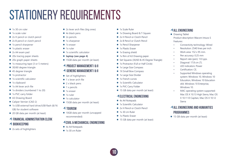## STATIONERY REQUIREMENTS

- $\bullet$  1x 30 cm ruler
- $\bullet$  1x scale ruler
- $\bullet$  2x H pencil or clutch pencil
- 2x B pencil or clutch pencil
- $\bullet$  1x pencil sharpener
- $\bullet$  1x plastic eraser
- 2x A4 exam pad
- $\bullet$  20x tracing paper sheets
- $\bullet$  20x graph paper sheets
- $\bullet$  1x measuring tape (3 or 5 meters)
- $\bullet$  30/60 degree triangle
- $\bullet$  45 degree triangle
- $\bullet$  1x protractor
- $\bullet$  1x scientific calculator
- $\bullet$  1x clipboard
- $\bullet$  1x A4 lever arch file
- 1x dividers (numbered 1 to 20)
- 1x PVC carry folder
- A3 Drawing Board
- Caliper Vernier (CAD 2)
- 1x USB external hard drive/USB flash (8/16 GB) for student software
- 20 GB data per month (at least)

#### **FINANCIAL ADMINISTRATION CLERK BOOKKEEPING**

- 
- $\bullet$  2x sets of highlighters
- $\bullet$  2x lever arch files (big ones)
- $\bullet$  4x black pens
- $\bullet$  2x pencils
- $\bullet$  1x sharpener  $\bullet$  1x eraser
- $\bullet$  1x ruler
- $\bullet$  1x scientific calculator
- $\bullet$  laptop (see page 4)
- 15GB data per month (at least)

## **PROJECT MANAGEMENT I & II**

## **GENERIC MANAGEMENT I & II**

- $\bullet$  Set of highlighters
- $\bullet$  1 x lever arch file  $\bullet$  2 x black pens
- $\bullet$  1 x pencils
- $\bullet$  1x eraser
- $\bullet$  1x ruler
- $\bullet$  1x calculator
- 15GB data per month (at least)

## **TOURISM**

• 10GB data per month (uncapped recommended)

### **CIVIL & MECHANICAL ENGINEERING**

- $\bullet$  4x A4 Notepads
- $\bullet$  1x 30 cm Ruler
- **1x Scale Ruler**
- 1x Drawing Board & T-Square
- 2x H Pencil or Clutch Pencil
- 2x B Pencil or Clutch Pencil
- 1x Pencil Sharpener
- **1x Plastic Fraser**
- 1x Erasing shield
- 1x Rim of A3 Drawing paper.
- Set Squares (30/60 & 45 Degree Triangle)
- 1x Protractor (Full or Half Circle)
- 1x Large Size Compass
- 1X Small Bow Compass
- 1x Large Size Divider
- $\bullet$  1x French curves
- **1x Scientific Calculator**
- 1x PVC Carry Folder
- 15 GB data per month (at least)

## **ELECTRICAL ENGINEERING**

- $\bullet$  4x A4 Notepads
- **1x Scientific Calculator**
- 2x H Pencil or Clutch Pencil
- $\bullet$  1x 30 cm Ruler
- **a** 1x Plastic Eraser
- 15 GB data per month (at least)

## **ALL ENGINEERING**

- Drawing Tablet Product description Wacom Intuos S Features:
	- Connectivity technology: Wired
	- Resolution: 2540 lines per inch
	- Work area: 152 x 95 mm.
	- Pen accuracy: 0.25 mm
	- Report rate (pen): 133 pps.
	- Diagonal: 17.8 cm (7).
	- LED indicators: Power
	- Certification: CE.
	- Supported Windows operating system: Windows 10, Windows 10 Education, Windows 10 Education x64, Windows 10 Enterprise, Windows 10.
	- MAC operating system supported: Mac OS X 10.13 High Sierra, Mac OS X 10.11 El Capitan, Mac OS X 10.12 Sierra

## **ALL ENGINEERING AND HUMANITIES PROGRAMMES**

● 15 GB data per month (at least)

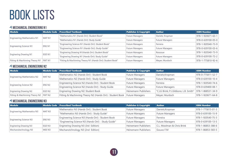### *<u>MECHANICAL ENGINEERING N1</u>*

| <b>Module</b>                           |        | Module Code Prescribed Textbook                            | <b>Publisher &amp; Copyright</b>                                                                                                                                                                                                                                                | <b>Author</b>     | <b>ISBN Number</b> |
|-----------------------------------------|--------|------------------------------------------------------------|---------------------------------------------------------------------------------------------------------------------------------------------------------------------------------------------------------------------------------------------------------------------------------|-------------------|--------------------|
|                                         | MAT N1 | "Mathematics N1 (Hands On!): Student Book"                 | <b>Future Managers</b>                                                                                                                                                                                                                                                          | Daniels; Kropman  | 978-1-920671-63-1  |
| <b>Engineering Mathematics N1</b>       |        | "Mathematics N1 (Hands On!): Study Guide"                  | <b>Future Managers</b><br><b>Future Managers</b><br>Ferreira<br><b>Future Managers</b><br><b>Future Managers</b><br><b>Future Managers</b><br><b>Future Managers</b><br>Rossouw<br><b>Future Managers</b><br><b>Future Managers</b><br>Meyer; Murdoch<br><b>Future Managers</b> | 978-0-639100-05-0 |                    |
|                                         |        | "Engineering Science N1 (Hands On!): Student Book"         |                                                                                                                                                                                                                                                                                 |                   | 978-1-920540-73-9  |
| Engineering Science N1                  | ENS N1 | "Engineering Science N1 (Hands On!): Study Guide"          |                                                                                                                                                                                                                                                                                 |                   | 978-0-639100-03-6  |
|                                         | EGD N1 | "Enginering Drawing N1(Hands On!): Student Book"           |                                                                                                                                                                                                                                                                                 |                   | 978-1-920540-73-9  |
| <b>Enginering Drawing N1</b>            |        | "Enginering Drawing N1 (Hands On!): Study Guide"           |                                                                                                                                                                                                                                                                                 |                   | 978-0-639100-72-2  |
| Fitting & Machinning Theory N1   FMT N1 |        | "Fitting & Machinning Theory N1 (Hands On!): Student Book" |                                                                                                                                                                                                                                                                                 |                   | 978-1-775810-92-6  |

### **4 MECHANICAL ENGINEERING N2**

| <b>Module</b>                           |        | Module Code Prescribed Textbook                          | <b>Publisher &amp; Copyright</b> | <b>Author</b>                         | <b>ISBN Number</b>          |
|-----------------------------------------|--------|----------------------------------------------------------|----------------------------------|---------------------------------------|-----------------------------|
| <b>Engineering Mathematics N2</b>       |        | Mathematics N2 (Hands On!) : Student Book                | <b>Future Managers</b>           | Daniels; Kropman                      | 978-0-775811-52-7           |
|                                         | MAT N2 | Mathematics N2 (Hands On!) : Study Guide                 | <b>Future Managers</b>           | <b>Future Managers</b>                | 978-0-639100-10-4           |
|                                         |        | Engineering Science N2 (Hands On!) : Student Book        | <b>Future Managers</b>           | Ferreira                              | 978-1-920540-74-6           |
| <b>Engineering Science N2</b>           | ENS N2 | Engineering Science N2 (Hands On!) : Study Guide         | <b>Future Managers</b>           | <b>Future Managers</b>                | 978-0-639400-08-1           |
| <b>Enginering Drawing N2</b>            | EGD N2 | Enginering Drawing N2: Student Book                      | Heinemann Publishers             | "C.LG Brink; P.J.Gibbons; L.B. Smith" | $978 - 1 - 868531 - 34 - 9$ |
| Fitting & Machinning Theory N2   FMT N2 |        | Fitting & Machinning Theory N2 (Hands On!): Student Book | <b>Future Managers</b>           | Meyer; Murdoch                        | 978-1-920671-64-8           |

## *<u>MECHANICAL ENGINEERING N3</u>*

| Module                            |                   | Module Code Prescribed Textbook                    | <b>Publisher &amp; Copyright</b> | <b>Author</b>              | <b>ISBN Number</b> |
|-----------------------------------|-------------------|----------------------------------------------------|----------------------------------|----------------------------|--------------------|
| <b>Engineering Mathematics N3</b> | MAT N3            | Mathematics N3 (Hands On!) : Student Book          | <b>Future Managers</b>           | Daniels; Kropman           | 978-1-775815-01-3  |
|                                   |                   | "Mathematics N3 (Hands On!) : Study Guide"         | <b>Future Managers</b>           | <b>Future Managers</b>     | 978-0-639100-15-9  |
| <b>Engineering Science N3</b>     | ENS <sub>N3</sub> | Engineering Science N3 (Hands On!) : Student Book  | <b>Future Managers</b>           | Ferreira                   | 978-1-920540-75-3  |
|                                   |                   | "Engineering Science N3 (Hands On!) : Study Guide" | <b>Future Managers</b>           | <b>Future Managers</b>     | 978-0-639100-13-5  |
| <b>Enginering Drawing N3</b>      | EGD N3            | Enginering Drawing N3 (3rd Edition)                | Heinemann Publishers             | C.L. Moolman & Chris Brink | 978-1-86853-388-6  |
| Mechanotechnology N3              | MEE N3            | Mechanotchnology N3 (2nd Edition)                  | <b>Heinemann Publishers</b>      | Gouws F.M                  | 978-1-86853-583-5  |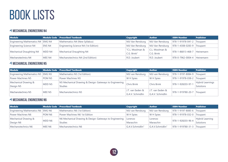## *<u>MECHANICAL ENGINEERING N4</u>*

| Module                            |        | Module Code Prescribed Textbook      | <b>Copyright</b> | <b>Author</b>    | <b>ISBN Number</b>         | <b>Publisher</b> |
|-----------------------------------|--------|--------------------------------------|------------------|------------------|----------------------------|------------------|
| Engineering Mathematics N4 EMG N4 |        | Mathematics N4 (New Syllabus)        | MJJ Van Rensburg | MJJ Van Rensburg | 978-1-91978-041-2 Troupant |                  |
| <b>Engineering Science N4</b>     | ENS N4 | Engineering Science N4 (1st Edition) | MJJ Van Rensburg | MJJ Van Rensburg | 978-1-4308-0283-9          | Troupant         |
|                                   |        | Mechanical Draughting N4             | "C.L. Moolman &  | C.L. Moolman &   | 978-1-86813-468-7          | Heinemann        |
| Mechanical Draughting N4          | MDD N4 |                                      | C.G. Brink"      | C.G. Brink       |                            |                  |
| Mechanotechnics N4                | MEE N4 | Mechanotechnics N4 (2nd Edition)     | R.D. Joubert     | R.D. Joubert     | 978-0-7962-0004-4          | Heinemann        |

## **4 MECHANICAL ENGINEERING N5**

| Module                              |                   | Module Code Prescribed Textbook                         | Copyright        | <b>Author</b>    | <b>ISBN Number</b> | <b>Publisher</b>        |
|-------------------------------------|-------------------|---------------------------------------------------------|------------------|------------------|--------------------|-------------------------|
| Engineering Mathematics N5   EMG N5 |                   | Mathematics N5 (1st Edition)                            | MJJ van Rensburg | MJJ van Rensburg | 978-1-9197-8084-9  | Troupant                |
| Power Machines N5                   | POM <sub>N5</sub> | Power Machines N5                                       | <b>W</b> H Spies | W H Spies        | 978-1-91978-038-2  | Troupant                |
| Mechanical Drawing &                | MDD N5            | N5 Mechanical Drawing & Design: Gateways to Engineering | Chris Brink      | Chris Brink      | 978-1-928203-97-1  | <b>Hybrid Learnings</b> |
| Design N5                           |                   | <b>Studies</b>                                          |                  |                  |                    | Solutions               |
| Mechanotechnics N5                  |                   | Mechanotechnics N5<br>MEE N5                            | J.T. van Eeden & | J.T. van Eeden & |                    |                         |
|                                     |                   |                                                         | G.A.V. Schmidlin | G.A.V. Schmidlin | 978-1-919780-20-7  | Troupant                |

## *<u>MECHANICAL ENGINEERING N6</u>*

| Module                              |                    | Module Code Prescribed Textbook                         | <b>Copyright</b> | <b>Author</b>    | <b>ISBN Number</b> | <b>Publisher</b> |
|-------------------------------------|--------------------|---------------------------------------------------------|------------------|------------------|--------------------|------------------|
| Engineering Mathematics N6   EMG N6 |                    | Mathematics N6 (1st Edition)                            | MJJ van Rensburg | MJJ van Rensburg | 978-1-9197-8085-6  | Troupant         |
| Power Machines N6                   | POM N <sub>6</sub> | Power Machines N6 1st Edition                           | <b>W</b> H Spies | W H Spies        | 978-1-91978-032-0  | Troupant         |
| Mechanical Drawing &                |                    | N6 Mechanical Drawing & Design: Gateways to Engineering | Lorenzo          | Lorenzo          | 978-1-928203-96-4  | Hybrid Learning  |
| Design N6                           | MDD N6             | <b>Studies</b>                                          | Maraschin        | Maraschin        |                    | Solutions        |
| Mechanotechnics N6                  | MEE N6             | Mechanotechnics N6                                      | G.A.V.Schmidlin" | G.A.V.Schmidlin" | 978-1-919780-31-3  | Troupant         |

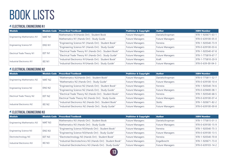#### **ELECTRICAL ENGINEERING N1**

| <b>Module</b>                     |        | Module Code   Prescribed Textbook                       | <b>Publisher &amp; Copyright</b> | <b>Author</b>          | <b>ISBN Number</b> |
|-----------------------------------|--------|---------------------------------------------------------|----------------------------------|------------------------|--------------------|
|                                   | MAT N1 | Mathematics N1(Hands On!) : Student Book                | <b>Future Managers</b>           | Daniels; Kropman       | 978-1-920671-63-1  |
| <b>Engineering Mathematics N1</b> |        | Mathematics N1 (Hands On!) : Study Guide                | <b>Future Managers</b>           | <b>Future Managers</b> | 978-0-639100-05-0  |
|                                   |        | "Engineering Science N1 (Hands On!) : Student Book"     | <b>Future Managers</b>           | Ferreira               | 978-1-920540-73-9  |
| <b>Engineering Science N1</b>     | ENS N1 | "Engineering Science N1 (Hands On!) : Study Guide"      | <b>Future Managers</b>           | <b>Future Managers</b> | 978-0-639100-03-6  |
|                                   |        | "Electrical Trade Theory N1 (Hands On!) : Student Book" | <b>Future Managers</b>           | Ferreira               | 978-1-920540-67-8  |
| <b>Electrical Trade Theory N1</b> | EET N1 | "Electrical Trade Theory N1 (Hands On!) : Study Guide"  | <b>Future Managers</b>           | <b>Future Managers</b> | 978-1-775819-67-7  |
|                                   |        | "Industrial Electronics N1(Hands On!) : Student Book"   | <b>Future Managers</b>           | Kraft                  | 978-1-775810-20-9  |
| Industrial Electronics N1         | IEE N1 | "Industrial Electronics N1(Hands On!) : Study Guide"    | <b>Future Managers</b>           | <b>Future Managers</b> | 978-0-639-00-04-3  |

### **ELECTRICAL ENGINEERING N2**

| <b>Module</b>                     |                    | Module Code Prescribed Textbook                         | <b>Publisher &amp; Copyright</b>                                                                                                                                                                                                                                                                                             | <b>Author</b>     | <b>ISBN Number</b> |
|-----------------------------------|--------------------|---------------------------------------------------------|------------------------------------------------------------------------------------------------------------------------------------------------------------------------------------------------------------------------------------------------------------------------------------------------------------------------------|-------------------|--------------------|
|                                   |                    | "Mathematics N2(Hands On!) : Student Book"              | <b>Future Managers</b>                                                                                                                                                                                                                                                                                                       | Daniels; Kropman  | 978-0-775811-52-7  |
| <b>Engineering Mathematics N2</b> | MAT N2             | "Mathematics N2 (Hands On!) : Study Guide"              | <b>Future Managers</b><br><b>Future Managers</b><br>Ferreira<br><b>Future Managers</b><br><b>Future Managers</b><br><b>Future Managers</b><br><b>Future Managers</b><br>Ferreira<br><b>Future Managers</b><br><b>Future Managers</b><br>Stoltz<br><b>Future Managers</b><br><b>Future Managers</b><br><b>Future Managers</b> | 978-0-639100-10-4 |                    |
|                                   |                    | "Engineering Science N2 (Hands On!) : Student Book"     |                                                                                                                                                                                                                                                                                                                              |                   | 978-1-920540-74-6  |
| Engineering Science N2            | ENS N2             | "Engineering Science N2 (Hands On!) : Study Guide"      |                                                                                                                                                                                                                                                                                                                              |                   | 978-0-639400-08-1  |
|                                   |                    | "Electrical Trade Theory N2 (Hands On!) : Student Book" |                                                                                                                                                                                                                                                                                                                              |                   | 978-1-920540-68-5  |
| Electrical Trade Theory N2        | EET N2             | Electrical Trade Theory N2 (Hands On!) : Study Guide    |                                                                                                                                                                                                                                                                                                                              |                   | 978-0-639100-07-4  |
|                                   |                    | "Industrial Electronics N2 (Hands On!) : Student Book"  |                                                                                                                                                                                                                                                                                                                              |                   | 978-1-920671-82-2  |
| Industrial Electronics N2         | IEE N <sub>2</sub> | "Industrial Electronics N2 (Hands On!) : Study Guide"   |                                                                                                                                                                                                                                                                                                                              |                   | 978-0-639100-00-8  |

## **ELECTRICAL ENGINEERING N3**

| <b>Module</b>                     |        | Module Code Prescribed Textbook                            | Publisher & Copyright  | <b>Author</b>          | <b>ISBN Number</b> |
|-----------------------------------|--------|------------------------------------------------------------|------------------------|------------------------|--------------------|
|                                   | MAT N3 | Mathematics N3 (Hands On!) : Student Book                  | <b>Future Managers</b> | Daniels; Kropman       | 978-1-775815-01-3  |
| <b>Engineering Mathematics N3</b> |        | Mathematics N3 (Hands On!) : Study Guide                   | <b>Future Managers</b> | <b>Future Managers</b> | 978-0-639100-15-9  |
|                                   | ENS N3 | "Engineering Science N3(Hands On!) : Student Book"         | <b>Future Managers</b> | Ferreira               | 978-1-920540-75-3  |
| <b>Engineering Science N3</b>     |        | "Engineering Science N3(Hands On!) : Study Guide"          | <b>Future Managers</b> | <b>Future Managers</b> | 978-0-639100-13-5  |
| Electrotechnology N3              | EET N3 | "Electrotechnology N3 (Hands On!) : Student Book"          | <b>Future Managers</b> | Ferreira               | 978-1-920540-70-8  |
|                                   | IEE N3 | "Industrial Electrotechnics N3 (Hands On!) : Student Book" | <b>Future Managers</b> | Engelbrecht            | 978-1-920671-73-0  |
| Industrial Electronics N3         |        | "Industrial Electrotechnics N3 (Hands On!) : Study Guide"  | <b>Future Managers</b> | <b>Future Managers</b> | 978-0-639103-14-2  |

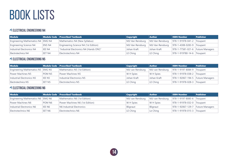## **ELECTRICAL ENGINEERING N4**

| <b>Module</b>                     |        | $\mid$ Module Code $\mid$ Prescribed Textbook | <b>Copyright</b> | <b>Author</b>    | <b>ISBN Number</b>                              | <b>Publisher</b> |
|-----------------------------------|--------|-----------------------------------------------|------------------|------------------|-------------------------------------------------|------------------|
| Engineering Mathematics N4 EMG N4 |        | Mathematics N4 (New Syllabus)                 | MJJ Van Rensburg |                  | MJJ Van Rensburg   978-1-91978-041-2   Troupant |                  |
| <b>Engineering Science N4</b>     | ENS N4 | Engineering Science N4 (1st Edition)          | MJJ Van Rensburg | MJJ Van Rensburg | 978-1-4308-0283-9 Troupant                      |                  |
| Industrial Electronics N4         | IEE N4 | "Industrial Electronics N4 (Hands ON!)"       | Johan Kraft      | Johan Kraft      | 978-1-77581-021-6   Future Managers             |                  |
| Electrotechnics N4                | EET N4 | Electrotechnics N4                            | LE Ching         | LE Ching         | 978-1-919780-14-6 Troupant                      |                  |

## **ELECTRICAL ENGINEERING N5**

| <b>Module</b>                       |        | $\mid$ Module Code $\mid$ Prescribed Textbook $\mid$ | <b>Copyright</b> | <b>Author</b>    | <b>ISBN Number</b>                  | <b>Publisher</b> |
|-------------------------------------|--------|------------------------------------------------------|------------------|------------------|-------------------------------------|------------------|
| Engineering Mathematics N5   EMG N5 |        | Mathematics N5 (1st Edition)                         | MJJ van Rensburg | MJJ van Rensburg | 978-1-9197-8084-9                   | Troupant         |
| Power Machines N5                   | POM N5 | Power Machines N5                                    | <b>W</b> H Spies | <b>W</b> H Spies | 978-1-91978-038-2 Troupant          |                  |
| Industrial Electronics N5           | IEE N5 | Industrial Electronics N5                            | Johan Kraft      | Johan Kraft      | 978-1-92067-194-5   Future Managers |                  |
| Electrotechnics N5                  | EET N5 | Electrotechnics N5                                   | LE Ching         | LE Ching         | 978-1-91978-028-3 Troupant          |                  |

## **ELECTRICAL ENGINEERING N6**

| Module                                   |               | Module Code Prescribed Textbook | <b>Copyright</b> | <b>Author</b>    | <b>ISBN Number</b>          | <b>Publisher</b> |
|------------------------------------------|---------------|---------------------------------|------------------|------------------|-----------------------------|------------------|
| <b>Engineering Mathematics N6 EMG N6</b> |               | Mathematics N6 (1st Edition)    | MJJ van Rensburg | MJJ van Rensburg | 978-1-9197-8085-6 Troupant  |                  |
| Power Machines N6                        | POM N6        | Power Machines N6 (1st Edition) | <b>W</b> H Spies | W H Spies        | 978-1-91978-032-0 Troupant  |                  |
| Industrial Electronics N6                | <b>IEE N6</b> | N6 Industrial Electronics       | Blignaut         | Blignaut         | $978 - 1 - 92067 - 129 - 7$ | Future Managers  |
| Electrotechnics N6                       | EET N6        | Electrotechnics N6              | LE Ching         | Le Ching         | 978-1-91978-015-3 Troupant  |                  |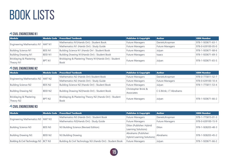### **CIVIL ENGINEERING N1**

| <b>Module</b>                       |               | Module Code Prescribed Textbook                        | <b>Publisher &amp; Copyright</b> | <b>Author</b>          | <b>ISBN Number</b> |
|-------------------------------------|---------------|--------------------------------------------------------|----------------------------------|------------------------|--------------------|
| Engineering Mathematics N1   MAT N1 |               | Mathematics N1(Hands On!): Student Book                | <b>Future Managers</b>           | Daniels; Kropman       | 978-1-920671-63-1  |
|                                     |               | Mathematics N1 (Hands On!) : Study Guide               | <b>Future Managers</b>           | <b>Future Managers</b> | 978-0-639100-05-0  |
| <b>Building Science N1</b>          | <b>BDSN1</b>  | Building Science N1 (Hands On!: Student Book           | <b>Future Managers</b>           | Julyan                 | 978-1-920671-68-6  |
| <b>Building Drawing N1</b>          | <b>BDD N1</b> | Building Drawing N1(Hands On!): Student Book           | <b>Future Managers</b>           | <b>Isaacs</b>          | 978-1-920671-69-3  |
| <b>Bricklaying &amp; Plastering</b> | BPT N1        | Bricklaying & Plastering Theory N1(Hands On!): Student | <b>Future Managers</b>           |                        |                    |
| Theory N1                           |               | <b>Book</b>                                            |                                  | Julyan                 | 978-1-920671-65-5  |

## **CIVIL ENGINEERING N2**

| <b>Module</b>                       |                   | Module Code Prescribed Textbook                         | <b>Publisher &amp; Copyright</b> | <b>Author</b>           | <b>ISBN Number</b>                                          |
|-------------------------------------|-------------------|---------------------------------------------------------|----------------------------------|-------------------------|-------------------------------------------------------------|
| Engineering Mathematics N2   MAT N2 |                   | Mathematics N2 (Hands On!) Student Book                 | <b>Future Managers</b>           | Daniels; Kropman        | 978-0-775811-52-7                                           |
|                                     |                   | Mathematics N2 (Hands On!) : Study Guide                | <b>Future Managers</b>           | <b>Future Managers</b>  | 978-0-639100-10-4<br>978-1-775811-53-4<br>978-1-920671-66-2 |
| <b>Building Science N2</b>          | BDS N2            | Building Science N2 (Hands On!): Student Book           | <b>Future Managers</b>           | Julyan                  |                                                             |
| <b>Building Drawing N2</b>          | BDD N2            |                                                         | Christopher Brink &              | C G Brink; J T Abrahams |                                                             |
|                                     |                   | Building Drawing N2(Hands On!): Student Book            | Associates                       |                         |                                                             |
| Bricklaying & Plastering            | BPT <sub>N2</sub> | Bricklaying & Plastering Theory N2 (Hands On!): Student |                                  |                         |                                                             |
| Theory N2                           |                   | <b>Book</b>                                             | <b>Future Managers</b>           | Julyan                  |                                                             |

## **CIVIL ENGINEERING N3**

| <b>Module</b>                           |        | Module Code Prescribed Textbook                          | <b>Publisher &amp; Copyright</b>  | <b>Author</b>          | <b>ISBN Number</b>                                                               |
|-----------------------------------------|--------|----------------------------------------------------------|-----------------------------------|------------------------|----------------------------------------------------------------------------------|
| Engineering Mathematics N3   MAT N3     |        | Mathematics N3 (Hands On!) : Student Book                | <b>Future Managers</b>            | Daniels; Kropman       | 978-1-775815-01-3                                                                |
|                                         |        | Mathematics N3(Hands On!): Study Guide                   | <b>Future Managers</b>            | <b>Future Managers</b> | 978-0-639100-15-9<br>978-1-928203-48-3<br>978-1-928203-45-2<br>978-1-920671-66-2 |
|                                         | BDS N3 | N3 Building Science (Revised Edition)                    | Dilon (Publisher: Hybrid          |                        |                                                                                  |
| <b>Building Science N3</b>              |        |                                                          | Learning Solutions)               | Dilon                  |                                                                                  |
|                                         | BDD N2 |                                                          | Abrahams (Publisher:              | Abrahams               |                                                                                  |
| <b>Building Drawing N3</b>              |        | N3 Building Drawing                                      | <b>Hybrid Learning Solutions)</b> |                        |                                                                                  |
| Building & Civil Technology N3   BCT N3 |        | Building & Civil Technology N3 (Hands On!): Student Book | <b>Future Managers</b>            | Julyan                 |                                                                                  |

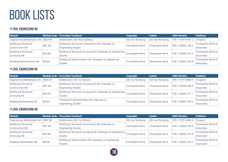## **CIVIL ENGINEERING N4**

| <b>Module</b>                       |        | Module Code Prescribed Textbook                             | Copyright                | <b>Author</b>     | <b>ISBN Number</b> | <b>Publisher</b>               |
|-------------------------------------|--------|-------------------------------------------------------------|--------------------------|-------------------|--------------------|--------------------------------|
| Engineering Mathematics N4   EMG N4 |        | Mathematics N4 (New Syllabus)                               | MJJ Van Rensburg         | MJJ Van Rensburg  | 978-1-91978-041-2  | Troupant                       |
| Building & Structural               | BSC N4 | Building & Structural Construction N4: Gateways to          | Christopher Brink        | Christopher Brink | 978-1-92820-358-2  | <b>Christopher Brink &amp;</b> |
| Construction N4                     |        | <b>Engineering Studies</b>                                  |                          |                   |                    | Associates                     |
| Building & Structural               | BSS N4 | Building & Structural Surveying N4: Gateways to Engineering |                          |                   |                    | Christopher Brink &            |
| Surveying N4                        |        | <b>Studies</b>                                              | Christopher Brink        | Christopher Brink | 978-1-92820-357-5  | Associates                     |
| <b>Building Administration N4</b>   | BA N4  | Building & Administration N4: Gateways to Engineering       |                          | Christopher Brink | 978-1-92820-356-8  | <b>Christopher Brink &amp;</b> |
|                                     |        | <b>Studies</b>                                              | <b>Christopher Brink</b> |                   |                    | Associates                     |

## **CIVIL ENGINEERING N5**

| Module                              |                   | Module Code Prescribed Textbook                             | <b>Copyright</b>                       | <b>Author</b>     | <b>ISBN Number</b> | <b>Publisher</b>               |
|-------------------------------------|-------------------|-------------------------------------------------------------|----------------------------------------|-------------------|--------------------|--------------------------------|
| Engineering Mathematics N5   EMG N5 |                   | Mathematics N5 (1st Edition)                                | MJJ van Rensburg                       | MJJ van Rensburg  | 978-1-9197-8084-9  | Troupant                       |
| Building & Structural               |                   | Building & Structural Construction N5: Gateways to          |                                        | Christopher Brink | 978-1-92839-269-9  | Christopher Brink &            |
| <b>Construction N5</b>              | BSC <sub>N5</sub> | <b>Engineering Studies</b>                                  | Christopher Brink                      |                   |                    | Associates                     |
| <b>Building &amp; Structural</b>    | BSS <sub>N5</sub> | Building & Structural Surveying N5: Gateways to Engineering |                                        |                   |                    | <b>Christopher Brink &amp;</b> |
| Surveying N5                        |                   | <b>Studies</b>                                              | Christopher Brink<br>Christopher Brink | 978-1-92820-371-1 | Associates         |                                |
| <b>Building Administration N5</b>   | BA <sub>N5</sub>  | "Building & Administration N5: Gateways to                  |                                        |                   | 978-1-92820-370-4  | Christopher Brink &            |
|                                     |                   | <b>Engineering Studies"</b>                                 | Christopher Brink                      | Christopher Brink |                    | Associates                     |

## **CIVIL ENGINEERING N6**

| <b>Module</b>                       |                    | Module Code   Prescribed Textbook                           | <b>Copyright</b>                       | <b>Author</b>            | <b>ISBN Number</b> | <b>Publisher</b>    |
|-------------------------------------|--------------------|-------------------------------------------------------------|----------------------------------------|--------------------------|--------------------|---------------------|
| Engineering Mathematics N6   EMG N6 |                    | Mathematics N6 (1st Edition)                                | MJJ van Rensburg                       | MJJ van Rensburg         | 978-1-9197-8085-6  | Troupant            |
| <b>Building &amp; Structural</b>    | BSC N <sub>6</sub> | Building & Structural Construction N6: Gateways to          |                                        | <b>Christopher Brink</b> | 978-1-92820-376-6  | Christopher Brink & |
| Construction N6                     |                    | <b>Engineering Studies</b>                                  | Christopher Brink                      |                          |                    | Associates          |
| <b>Building &amp; Structural</b>    | BSS <sub>N6</sub>  | Building & Structural Surveying N6: Gateways to Engineering |                                        |                          |                    | Christopher Brink & |
| Surveying N6                        |                    | <b>Studies</b>                                              | Christopher Brink<br>Christopher Brink |                          | 978-1-92820-375-9  | Associates          |
| <b>Building Administration N6</b>   |                    | Building & Administration N6: Gateways to Engineering       |                                        |                          |                    | Christopher Brink & |
|                                     | BA N6              | <b>Studies</b>                                              | <b>Christopher Brink</b>               | <b>Christopher Brink</b> | 978-1-92820-374-2  | Associates          |

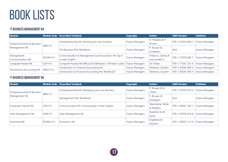## *A* **BUSINESS MANAGEMENT N4**

| <b>Module</b>               | Module Code      | <b>Prescribed Textbook</b>                                    | <b>Copyright</b>       | <b>Author</b>         | <b>ISBN Number</b> | <b>Publisher</b>                                                                                                               |
|-----------------------------|------------------|---------------------------------------------------------------|------------------------|-----------------------|--------------------|--------------------------------------------------------------------------------------------------------------------------------|
|                             |                  | Entrepreneurship N4: Starting your own business               | <b>Future Managers</b> | D. Plaatjies & P.     | 978-1-91974-606-7  |                                                                                                                                |
| Entrepreneurship & Business | <b>EBM 411</b>   |                                                               |                        | <b>Bruwer</b>         |                    |                                                                                                                                |
| Management N4               |                  | The Business Plan Workbook                                    |                        | P. Bruwer &           |                    | <b>Future Managers</b><br><b>Future Managers</b><br><b>Future Managers</b><br><b>Future Managers</b><br><b>Future Managers</b> |
|                             |                  |                                                               | <b>Future Managers</b> | Scheepers             | N/A                |                                                                                                                                |
| Management                  | <b>MCOM 411</b>  | Communication & Management Communication N4: Say it           |                        | Frieda w., Shirley R. | 978-1-91978-682-7  |                                                                                                                                |
| Communication N4            |                  | in plain English                                              | <b>Future Managers</b> | and Lynette S.        |                    |                                                                                                                                |
| Computer Practice N4        | <b>COP 411</b>   | Computer Practice N4 Office 2013/Windows 7 (Printed in color) | <b>Future Managers</b> | De Villiers           | 978-1-77581-231-9  |                                                                                                                                |
| Introductory Accounting N4  | <b>INACC 411</b> | Introduction to Financial Accounting N4                       | <b>Future Managers</b> | Mathews; Goolam       | 978-1-92036-469-4  |                                                                                                                                |
|                             |                  | Introduction to Financial Accounting N4: Workbook"            | <b>Future Managers</b> | Mathews; Goolam       | 978-1-92036-493-9  | <b>Future Managers</b>                                                                                                         |

## *A* **BUSINESS MANAGEMENT N5**

| <b>Module</b>               |                | Module Code   Prescribed Textbook               | <b>Copyright</b>       | <b>Author</b>   | <b>ISBN Number</b> | <b>Publisher</b>                                 |
|-----------------------------|----------------|-------------------------------------------------|------------------------|-----------------|--------------------|--------------------------------------------------|
|                             |                | Entrepreneurship N5: Managing your own Business | <b>Future Managers</b> | P. Bruwer & N.  | 978-1-91978-610-0  | Future Managers                                  |
| Entrepreneurship & Business | <b>EBM 511</b> |                                                 |                        | <b>Cilliers</b> |                    |                                                  |
| Management N5               |                | Management Plan Workbook                        | <b>Future Managers</b> | P. Bruwer &     | N/A                | <b>Future Managers</b><br><b>Future Managers</b> |
|                             |                |                                                 |                        | Scheepers       |                    |                                                  |
|                             | <b>COP 511</b> | Communication N5: Communicate in Plain English  | <b>Future Managers</b> | Steenkamp; Wade | 978-1-92067-192-1  |                                                  |
| Computer Practice N5        |                |                                                 |                        | & Robbins       |                    |                                                  |
|                             | <b>SAM 511</b> |                                                 |                        | Roelofse & Vd   | 978-1-91978-614-8  | Future Managers                                  |
| Sales Management N5         |                | Sales Management N5                             | <b>Future Managers</b> | Vyver           |                    |                                                  |
| Economics N4                | ECONS 411      | Economics N4                                    |                        | Engelbrecht;    | 978-1-92067-112-9  |                                                  |
|                             |                |                                                 | <b>Future Managers</b> | Strydom         |                    | <b>Future Managers</b>                           |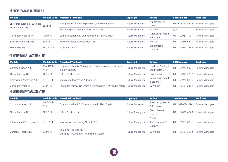## *A* **BUSINESS MANAGEMENT N6**

| Module                      |                      | Module Code Prescribed Textbook                   | <b>Copyright</b>       | <b>Author</b>                     | <b>ISBN Number</b> | <b>Publisher</b>       |
|-----------------------------|----------------------|---------------------------------------------------|------------------------|-----------------------------------|--------------------|------------------------|
| Entrepreneurship & Business | <b>EBM 611</b>       | Entrepreneurship N6: Expanding your own Business" | <b>Future Managers</b> | P. Bruwer & N.<br><b>Cilliers</b> | 978-0-95841-569-9  | Future Managers        |
| Management N6               |                      | Expanding your own Business Workbook              | <b>Future Managers</b> | N. Cilliers                       | N/A                | <b>Future Managers</b> |
| Computer Practice N6        | COP 611              | Communication N6: Communicate in Plain English    | <b>Future Managers</b> | Steenkamp; Wade<br>& Robbins      | 978-1-92067-192-1  | <b>Future Managers</b> |
| Sales Management N6         | <b>SAM 611</b>       | Advanced Sales Management N6                      | <b>Future Managers</b> | Nortjie                           | 978-1-91978-684-1  | <b>Future Managers</b> |
| Economics N5                | ECONS <sub>511</sub> | Economics N5                                      | <b>Future Managers</b> | Engelbrecht;<br>Strydom           | 978-1-92067-148-8  | Future Managers        |

## **4 MANAGEMENT ASSISTANT N4**

| <b>Module</b>             |                      | Module Code Prescribed Textbook                                               | Copyright              | <b>Author</b>                           | <b>ISBN Number</b>                  | <b>Publisher</b> |
|---------------------------|----------------------|-------------------------------------------------------------------------------|------------------------|-----------------------------------------|-------------------------------------|------------------|
| Communication N4          | <b>MACOMM</b><br>411 | Communication & Management Communication N4: Say it<br>in plain English       | <b>Future Managers</b> | Frieda w., Shirley R.<br>and Lynette S. | 978-1-91978-682-7                   | Future Managers  |
| Office Practice N4        | <b>OFP 411</b>       | Office Practice N4                                                            | <b>Future Managers</b> | Oosthuizen                              | 978-1-92036-473-1                   | Future Managers  |
| Information Processing N4 | <b>INFO 411</b>      | Information Processing N4 with CD                                             | <b>Future Managers</b> | Liebenberg; Retief<br>& Jeannes         | 978-1-91978-622-3 Future Managers   |                  |
| Computer Practice N4      | <b>COP 411</b>       | Computer Practice N4 Office 2013/Windows 7 (Printed in color) Future Managers |                        | De Villiers                             | 978-1-77581-231-9   Future Managers |                  |

## **4 MANAGEMENT ASSISTANT N5**

| Module                      |                 | Module Code   Prescribed Textbook              | <b>Copyright</b>       | <b>Author</b>   | <b>ISBN Number</b> | <b>Publisher</b>       |
|-----------------------------|-----------------|------------------------------------------------|------------------------|-----------------|--------------------|------------------------|
| Communication N5            | <b>MACOMM</b>   | Communication N5: Communicate in Plain English | <b>Future Managers</b> | Steenkamp; Wade | 978-1-92067-192-1  | <b>Future Managers</b> |
|                             | 511             |                                                |                        | & Robbins       |                    |                        |
| Office Practice N5          | <b>OFP 511</b>  | Office Practice N5                             | <b>Future Managers</b> | Oosthuizen &    | 978-1-92036-474-8  | <b>Future Managers</b> |
|                             |                 |                                                |                        | Coetzee         |                    |                        |
|                             |                 | Information Processing N5 with CD              | <b>Future Managers</b> | Fourie;         |                    |                        |
| Information Processing N5   | <b>INFO 511</b> |                                                |                        | Redelinghuys &  | 978-1-91978-622-3  | <b>Future Managers</b> |
|                             |                 |                                                |                        | <b>Jeannes</b>  |                    |                        |
| <b>Computer Practice N5</b> | <b>COP 511</b>  | <b>Computer Practice N5</b>                    | <b>Future Managers</b> | De Villiers     | 978-1-77581-312-5  | <b>Future Managers</b> |
|                             |                 | Office 2013/Windows 7 (Printed In Color)       |                        |                 |                    |                        |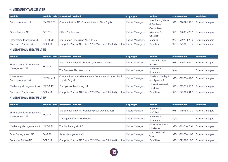## **MANAGEMENT ASSISTANT N6**

| <b>Module</b>             |                  | Module Code   Prescribed Textbook                                               | Copyright              | <b>Author</b>                         | <b>ISBN Number</b> | <b>Publisher</b>       |
|---------------------------|------------------|---------------------------------------------------------------------------------|------------------------|---------------------------------------|--------------------|------------------------|
| Communication N6          | MACOM 611        | Communication N6: Communicate in Plain English                                  | <b>Future Managers</b> | Steenkamp; Wade<br>& Robbins          | 978-1-92067-192-1  | Future Managers        |
| Office Practice N6        | <b>OFP 611</b>   | Office Practice N6                                                              | <b>Future Managers</b> | Oosthuizen;<br>Nienaber &<br>Coetzee" | 978-1-92036-475-5  | Future Managers        |
| Information Processing N6 | <b>INFOR 611</b> | Information Processing N6 with CD                                               | Future Managers        | Jeannes                               | 978-1-91978-623-0  | <b>Future Managers</b> |
| Computer Practice N6      | COP 611          | Computer Practice N6 Office 2013/Windows 7 (Printed in color)   Future Managers |                        | De Villiers                           | 978-1-77581-313-2  | <b>Future Managers</b> |

## *<u>MARKETING MANAGEMENT N4</u>*

| <b>Module</b>               |                 | Module Code   Prescribed Textbook                                             | <b>Copyright</b>       | <b>Author</b>         | <b>ISBN Number</b> | <b>Publisher</b>       |
|-----------------------------|-----------------|-------------------------------------------------------------------------------|------------------------|-----------------------|--------------------|------------------------|
|                             |                 | Entrepreneurship N4: Starting your own business                               | <b>Future Managers</b> | D. Plaatjies & P.     | 978-1-91974-606-7  | <b>Future Managers</b> |
| Entrepreneurship & Business | <b>EBM 411</b>  |                                                                               |                        | <b>Bruwer</b>         |                    |                        |
| Management N4               |                 | The Business Plan Workbook                                                    | <b>Future Managers</b> | P. Bruwer &           | N/A                | <b>Future Managers</b> |
|                             |                 |                                                                               |                        | Scheepers             |                    |                        |
| Management                  | <b>MCOM 411</b> | Communication & Management Communication N4: Say it                           |                        | Frieda w., Shirley R. | 978-1-91978-682-7  | Future Managers        |
| Communication N4            |                 | in plain English                                                              | <b>Future Managers</b> | and Lynette S.        |                    |                        |
|                             | <b>MKTM 411</b> | Principles of Marketing N4                                                    |                        | vd Westhuyzen &       | 978-1-91978-665-0  |                        |
| Marketing Management N4     |                 |                                                                               | <b>Future Managers</b> | vd Merwe              |                    | Future Managers        |
| Computer Practice N4        | COP 411         | Computer Practice N4 Office 2013/Windows 7 (Printed in color) Future Managers |                        | De Villiers           | 978-1-77581-231-9  | <b>Future Managers</b> |

## **4 MARKETING MANAGEMENT N5**

| <b>Module</b>               |                 | Module Code   Prescribed Textbook                                             | Copyright              | <b>Author</b>    | <b>ISBN Number</b> | <b>Publisher</b>       |
|-----------------------------|-----------------|-------------------------------------------------------------------------------|------------------------|------------------|--------------------|------------------------|
|                             |                 | Entrepreneurship N5: Managing your own Business                               | <b>Future Managers</b> | P. Bruwer &      | 978-1-91978-610-0  | <b>Future Managers</b> |
| Entrepreneurship & Business | <b>EBM 511</b>  |                                                                               |                        | N. Cilliers      |                    |                        |
| Management N5               |                 | Management Plan Workbook                                                      | <b>Future Managers</b> | P. Bruwer &      | N/A                | <b>Future Managers</b> |
|                             |                 |                                                                               |                        | <b>Scheepers</b> |                    |                        |
| Marketing Management N5     | <b>MKTM 511</b> | The Marketing Mix N5                                                          | <b>Future Managers</b> | vd Westhuyzen &  | 978-1-91974-674-6  | Future Managers        |
|                             |                 |                                                                               |                        | vd Merwe         |                    |                        |
| Sales Management N5         | <b>SAM 511</b>  | Sales Management N5                                                           | <b>Future Managers</b> | Roelofse & Vd    | 978-1-91978-614-8  | Future Managers        |
|                             |                 |                                                                               |                        | Vyver            |                    |                        |
| Computer Practice N5        | <b>COP 511</b>  | Computer Practice N5 Office 2013/Windows 7 (Printed in color) Future Managers |                        | De Villiers      | 978-1-77581-312-5  | <b>Future Managers</b> |

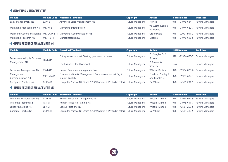## *<u>MARKETING MANAGEMENT N6</u>*

| Module                  |                 | Module Code Prescribed Textbook                                      | <b>Copyright</b>       | <b>Author</b>               | <b>ISBN Number</b>                  | <b>Publisher</b> |
|-------------------------|-----------------|----------------------------------------------------------------------|------------------------|-----------------------------|-------------------------------------|------------------|
| Sales Management N6     | <b>SAM 611</b>  | Advanced Sales Management N6                                         | <b>Future Managers</b> | Nortjie                     | 978-1-91978-684-1                   | Future Managers  |
| Marketing Management N6 | MKTM 611        | Marketing Strategies N6                                              | <b>Future Managers</b> | vd Westhuyzen &<br>vd Merwe | 978-1-91974-622-7 Future Managers   |                  |
|                         |                 | Marketing Communication N6   MKTCOM 611   Marketing Communication N6 | <b>Future Managers</b> | Groenewald                  | 978-1-92001-911-2   Future Managers |                  |
| Marketing Research N6   | <b>MKTR 611</b> | Market Research N6                                                   | <b>Future Managers</b> | Matima                      | 978-1-91978-698-8 Future Managers   |                  |

### **4 HUMAN RESOURCE MANAGEMENT N4**

| <b>Module</b>                                |                 | Module Code   Prescribed Textbook                                               | <b>Copyright</b>       | <b>Author</b>                           | <b>ISBN Number</b> | <b>Publisher</b>       |
|----------------------------------------------|-----------------|---------------------------------------------------------------------------------|------------------------|-----------------------------------------|--------------------|------------------------|
| Entrepreneurship & Business<br>Management N4 | <b>EBM 411</b>  | Entrepreneurship N4: Starting your own business                                 | <b>Future Managers</b> | D. Plaatjies & P.<br><b>Bruwer</b>      | 978-1-91974-606-7  | Future Managers        |
|                                              |                 | The Business Plan Workbook                                                      | <b>Future Managers</b> | P. Bruwer &<br>Scheepers                | N/A                | <b>Future Managers</b> |
| Personnel Management N4                      | <b>PSM 411</b>  | Human Resource Management N4                                                    | <b>Future Managers</b> | Wilson-Kirsten                          | 978-1-91974-025-6  | Future Managers        |
| Management<br>Communication N4               | <b>MCOM 411</b> | Communication & Management Communication N4: Say it<br>in plain English         | <b>Future Managers</b> | Frieda w., Shirley R.<br>and Lynette S. | 978-1-91978-682-7  | Future Managers        |
| Computer Practice N4                         | <b>COP 411</b>  | Computer Practice N4 Office 2013/Windows 7 (Printed in color)   Future Managers |                        | De Villiers                             | 978-1-77581-231-9  | <b>Future Managers</b> |

## *A* **HUMAN RESOURCE MANAGEMENT N5**

| <b>Module</b>           |                | Module Code Prescribed Textbook                                               | <b>Copyright</b> | <b>Author</b>  | <b>ISBN Number</b>                  | <b>Publisher</b> |
|-------------------------|----------------|-------------------------------------------------------------------------------|------------------|----------------|-------------------------------------|------------------|
| Personnel Management N5 | <b>PSM 511</b> | Human Resource Management N5                                                  | Future Managers  | Wilson-Kirsten | 978-1-91974-024-9   Future Managers |                  |
| Personnel Training N5   | <b>PST 511</b> | Human Resource Training N5                                                    | Future Managers  | Wilson-Kirsten | 978-1-91978-611-7   Future Managers |                  |
| Labour Relations N5     | <b>LBR 511</b> | Labour Relations N5                                                           | Future Managers  | Wilson-Kirsten | 978-1-77581-268-5 Future Managers   |                  |
| Computer Practice N5    | <b>COP 511</b> | Computer Practice N5 Office 2013/Windows 7 (Printed in color) Future Managers |                  | De Villiers    | 978-1-77581-312-5   Future Managers |                  |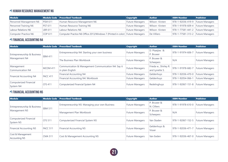## *A* **HUMAN RESOURCE MANAGEMENT N6**

| <b>Module</b>           |                | Module Code Prescribed Textbook                                               | <b>Copyright</b> | <b>Author</b>  | <b>ISBN Number</b>                  | <b>Publisher</b> |
|-------------------------|----------------|-------------------------------------------------------------------------------|------------------|----------------|-------------------------------------|------------------|
| Personnel Management N6 | <b>PSM 611</b> | Human Resource Management N6                                                  | Future Managers  | Wilson-Kirsten | 978-1-92036-419-9   Future Managers |                  |
| Personnel Training N6   | <b>PST 611</b> | Human Resource Training N6                                                    | Future Managers  | Wilson-Kirsten | 978-1-91978-609-4 Future Managers   |                  |
| Labour Relations N6     | LBR 611        | Labour Relations N6                                                           | Future Managers  | Wilson-Kirsten | 978-1-77581-441-2 Future Managers   |                  |
| Computer Practice N6    | COP 611        | Computer Practice N6 Office 2013/Windows 7 (Printed in color) Future Managers |                  | De Villiers    | 978-1-77581-313-2 Future Managers   |                  |

## **FINANCIAL ACCOUNTING N4**

| <b>Module</b>                                |                 | Module Code   Prescribed Textbook                                       | <b>Copyright</b>       | <b>Author</b>                           | <b>ISBN Number</b> | <b>Publisher</b>       |
|----------------------------------------------|-----------------|-------------------------------------------------------------------------|------------------------|-----------------------------------------|--------------------|------------------------|
| Entrepreneurship & Business<br>Management N4 | <b>EBM 411</b>  | Entrepreneurship N4: Starting your own business                         | <b>Future Managers</b> | D. Plaatjies &<br>P. Bruwer             | 978-1-91974-606-7  | <b>Future Managers</b> |
|                                              |                 | The Business Plan Workbook                                              | <b>Future Managers</b> | P. Bruwer &<br>Scheepers                | N/A                | Future Managers        |
| Management<br>Communication N4               | <b>MCOM 411</b> | Communication & Management Communication N4: Say it<br>in plain English | <b>Future Managers</b> | Frieda w., Shirley R.<br>and Lynette S. | 978-1-91978-682-7  | <b>Future Managers</b> |
|                                              | FACC 411        | Financial Accounting N4                                                 | <b>Future Managers</b> | Geldenhuys                              | 978-1-92036-470-0  | Future Managers        |
| Financial Accounting N4                      |                 | Financial Accounting N4: Workbook                                       | <b>Future Managers</b> | Geldenhuys                              | 978-1-92054-066-1  | <b>Future Managers</b> |
| Computerized Financial<br>System N4          | <b>CFS 411</b>  | Computerized Financial System N4                                        | <b>Future Managers</b> | Redelinghuys                            | 978-1-92067-151-8  | Future Managers        |

## **FINANCIAL ACCOUNTING N5**

| <b>Module</b>                                | <b>Module Code</b> | <b>Prescribed Textbook</b>                      | <b>Copyright</b>       | <b>Author</b>              | <b>ISBN Number</b> | <b>Publisher</b>       |
|----------------------------------------------|--------------------|-------------------------------------------------|------------------------|----------------------------|--------------------|------------------------|
| Entrepreneurship & Business<br>Management N5 |                    | Entrepreneurship N5: Managing your own Business | <b>Future Managers</b> | P. Bruwer &<br>N. Cilliers | 978-1-91978-610-0  | Future Managers        |
|                                              | <b>EBM 511</b>     | Management Plan Workbook                        | <b>Future Managers</b> | P. Bruwer &<br>Scheepers   | N/A                | <b>Future Managers</b> |
| Computerized Financial<br>System N5          | <b>CFS 511</b>     | Computerized Financial System N5                | <b>Future Managers</b> | Van Staden                 | 978-1-92067-152-5  | Future Managers        |
| Financial Accounting N5                      | FACC 511           | Financial Accounting N5                         | <b>Future Managers</b> | Geldenhuys &<br>Visser     | 978-1-92036-471-7  | Future Managers        |
| Cost & Management<br>Accounting N5           | <b>CMA 511</b>     | Cost & Management Accounting N5                 | <b>Future Managers</b> | Van Eeden                  | 978-1-92036-467-0  | <b>Future Managers</b> |

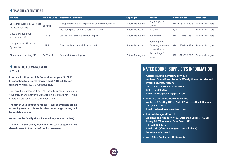## **FINANCIAL ACCOUNTING N6**

| <b>Module</b>                       | Module Code    | <b>Prescribed Textbook</b>                       | <b>Copyright</b>       | <b>Author</b>                                        | <b>ISBN Number</b> | Publisher       |
|-------------------------------------|----------------|--------------------------------------------------|------------------------|------------------------------------------------------|--------------------|-----------------|
| Entrepreneurship & Business         | <b>EBM 611</b> | Entrepreneurship N6: Expanding your own Business | <b>Future Managers</b> | P. Bruwer & N.<br><b>Cilliers</b>                    | 978-0-95841-569-9  | Future Managers |
| Management N6                       |                | Expanding your own Business Workbook             | <b>Future Managers</b> | N. Cilliers                                          | N/A                | Future Managers |
| Cost & Management<br>Accounting N6  | <b>CMA 611</b> | Cost & Management Accounting N6                  | <b>Future Managers</b> | Van Eeden                                            | 978-1-92036-468-7  | Future Managers |
| Computerized Financial<br>System N6 | <b>CFS 611</b> | Computerized Financial System N6                 | <b>Future Managers</b> | Redelinghuys;<br>October; Roelofse;<br>vd Westhulzen | 978-1-92054-099-9  | Future Managers |
| Financial Accounting N6             | FACC 611       | Financial Accounting N6                          | <b>Future Managers</b> | Geldenhuys &<br>Visser                               | 978-1-77581-262-3  | Future Managers |

#### *A* **BBA IN PROJECT MANAGEMENT**

#### z **Year 1:**

**Erasmus, B., Strydom, J, & Rudansky-Kloppers, S., 2019 Introduction to business management. 11th ed. Oxford University Press. ISBN 9780199059829**

This may be purchased from Van Schaik, either at branch in your area, or alternatively purchased online (Please note online orders will attract an additional courier fee)

**The rest of your textbooks for Year 1 will be available online on Oreilly.com, on a book list that , upon registration, will be available to you.** 

**(Access to the Oreilly site is included in your course fees).**

**The links to the Oreilly book lists for each subject will be shared closer to the start of the first semester**

## **NATED BOOKS: SUPPLIER'S INFORMATION**

- **• Gerlain Trading & Projects (Pty) Ltd Address: Opera Plaza, Pretoria, Wendy House, Andries and Pretorius Street, Pretoria. Tel: 012 321 4008 / 012 323 5855 Cell: 076 609 5667 Email: alphaalphacam@gmail.com**
- **• Mind matters Educational Bookstore Address: 7 Bentley Office Park, 67 Wessels Road, Rivonia. Tel: 086 111 6184 Email: orders@mind-matters.co.za**
- **• Future Manager (Pty) Ltd Address: The Armoury A102, Buchanan Square, 160 Sir Lowry Rd, Woodstock, Cape Town, 925. Tel: 021 462 3572 Email: info@futuremanagers.com; sakhiwo@ futuremanagers.com**
- **• Any Other Bookstores Nationwide**